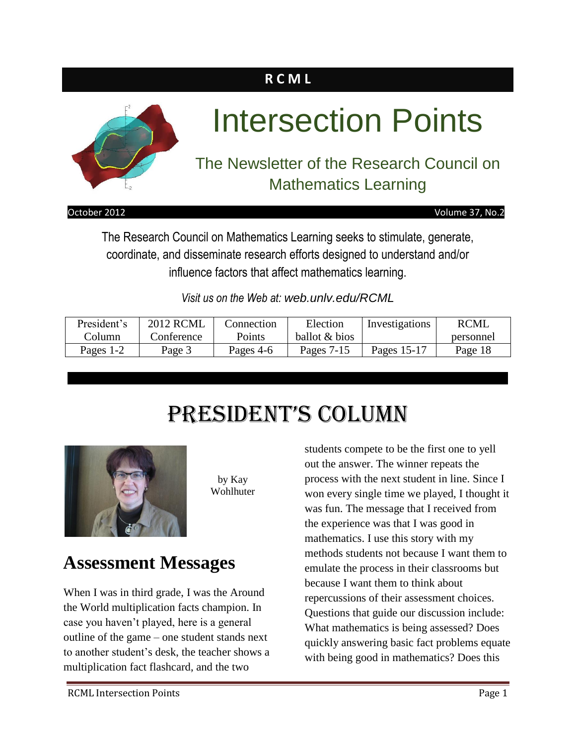### **R C M L**



# Intersection Points

### The Newsletter of the Research Council on Mathematics Learning

October 2012 Volume 37, No.2

The Research Council on Mathematics Learning seeks to stimulate, generate, coordinate, and disseminate research efforts designed to understand and/or influence factors that affect mathematics learning.

*Visit us on the Web at: web.unlv.edu/RCML*

| President's | <b>2012 RCML</b> | Connection | Election      | Investigations | <b>RCML</b> |
|-------------|------------------|------------|---------------|----------------|-------------|
| Column      | Conference       | Points     | ballot & bios |                | personnel   |
| Pages 1-2   | Page 3           | Pages 4-6  | Pages $7-15$  | Pages 15-17    | Page 18     |

### President's Column



by Kay Wohlhuter

### **Assessment Messages**

When I was in third grade, I was the Around the World multiplication facts champion. In case you haven't played, here is a general outline of the game – one student stands next to another student's desk, the teacher shows a multiplication fact flashcard, and the two

students compete to be the first one to yell out the answer. The winner repeats the process with the next student in line. Since I won every single time we played, I thought it was fun. The message that I received from the experience was that I was good in mathematics. I use this story with my methods students not because I want them to emulate the process in their classrooms but because I want them to think about repercussions of their assessment choices. Questions that guide our discussion include: What mathematics is being assessed? Does quickly answering basic fact problems equate with being good in mathematics? Does this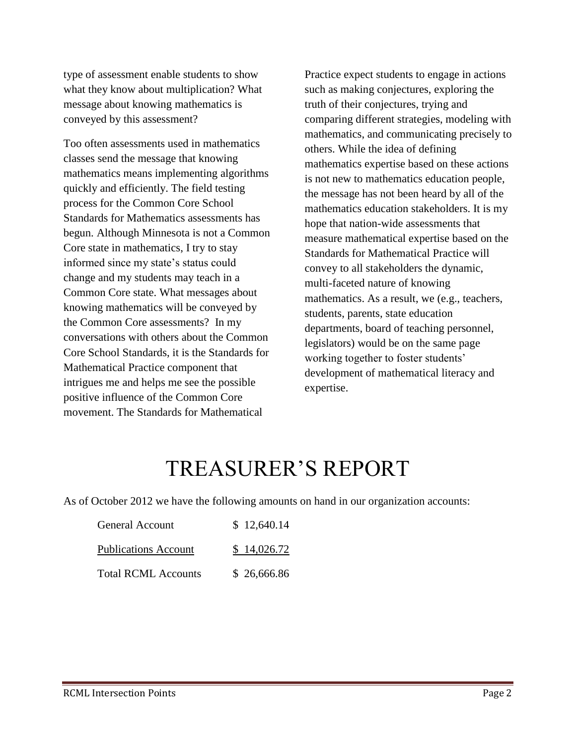type of assessment enable students to show what they know about multiplication? What message about knowing mathematics is conveyed by this assessment?

Too often assessments used in mathematics classes send the message that knowing mathematics means implementing algorithms quickly and efficiently. The field testing process for the Common Core School Standards for Mathematics assessments has begun. Although Minnesota is not a Common Core state in mathematics, I try to stay informed since my state's status could change and my students may teach in a Common Core state. What messages about knowing mathematics will be conveyed by the Common Core assessments? In my conversations with others about the Common Core School Standards, it is the Standards for Mathematical Practice component that intrigues me and helps me see the possible positive influence of the Common Core movement. The Standards for Mathematical

Practice expect students to engage in actions such as making conjectures, exploring the truth of their conjectures, trying and comparing different strategies, modeling with mathematics, and communicating precisely to others. While the idea of defining mathematics expertise based on these actions is not new to mathematics education people, the message has not been heard by all of the mathematics education stakeholders. It is my hope that nation-wide assessments that measure mathematical expertise based on the Standards for Mathematical Practice will convey to all stakeholders the dynamic, multi-faceted nature of knowing mathematics. As a result, we (e.g., teachers, students, parents, state education departments, board of teaching personnel, legislators) would be on the same page working together to foster students' development of mathematical literacy and expertise.

### TREASURER'S REPORT

As of October 2012 we have the following amounts on hand in our organization accounts:

| <b>General Account</b>      | \$12,640.14 |
|-----------------------------|-------------|
| <b>Publications Account</b> | \$14,026.72 |
| <b>Total RCML Accounts</b>  | \$26,666.86 |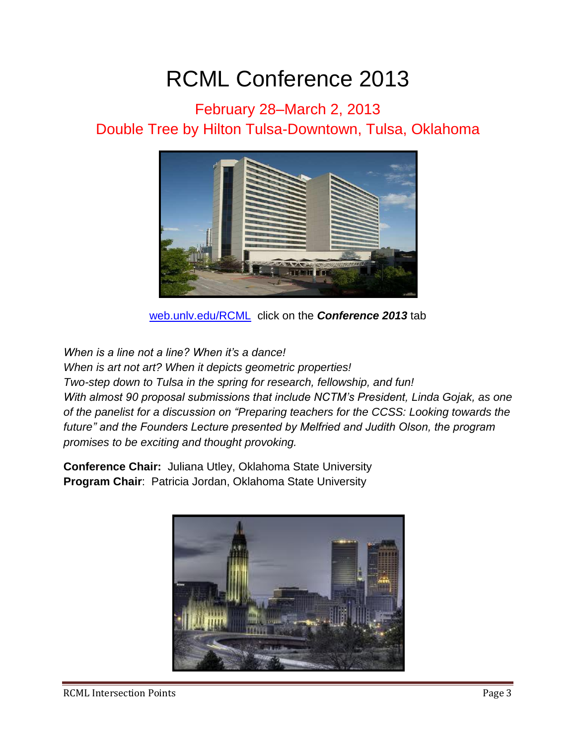## RCML Conference 2013

February 28–March 2, 2013 Double Tree by Hilton Tulsa-Downtown, Tulsa, Oklahoma



[web.unlv.edu/RCML](http://www.unlv.edu/RCML) click on the *Conference 2013* tab

*When is a line not a line? When it's a dance!*

*When is art not art? When it depicts geometric properties! Two-step down to Tulsa in the spring for research, fellowship, and fun! With almost 90 proposal submissions that include NCTM's President, Linda Gojak, as one of the panelist for a discussion on "Preparing teachers for the CCSS: Looking towards the future" and the Founders Lecture presented by Melfried and Judith Olson, the program promises to be exciting and thought provoking.*

**Conference Chair:** Juliana Utley, Oklahoma State University **Program Chair**: Patricia Jordan, Oklahoma State University

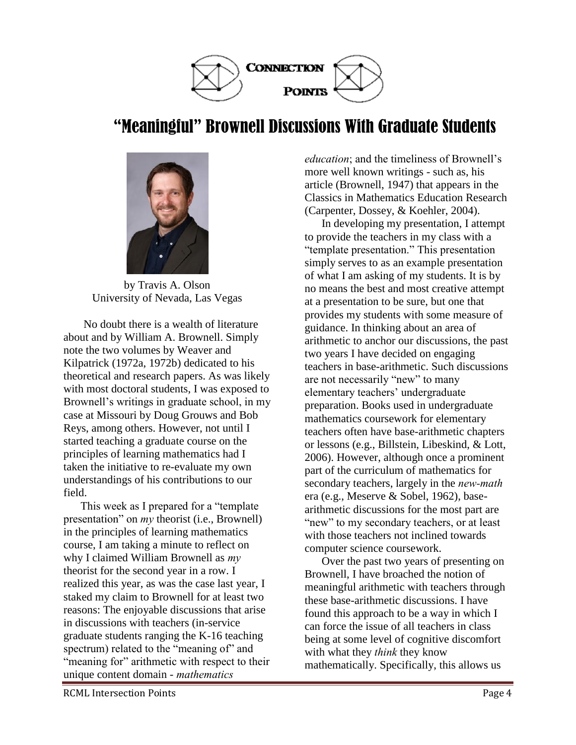

### "Meaningful" Brownell Discussions With Graduate Students



by Travis A. Olson University of Nevada, Las Vegas

No doubt there is a wealth of literature about and by William A. Brownell. Simply note the two volumes by Weaver and Kilpatrick (1972a, 1972b) dedicated to his theoretical and research papers. As was likely with most doctoral students, I was exposed to Brownell's writings in graduate school, in my case at Missouri by Doug Grouws and Bob Reys, among others. However, not until I started teaching a graduate course on the principles of learning mathematics had I taken the initiative to re-evaluate my own understandings of his contributions to our field.

This week as I prepared for a "template presentation" on *my* theorist (i.e., Brownell) in the principles of learning mathematics course, I am taking a minute to reflect on why I claimed William Brownell as *my* theorist for the second year in a row. I realized this year, as was the case last year, I staked my claim to Brownell for at least two reasons: The enjoyable discussions that arise in discussions with teachers (in-service graduate students ranging the K-16 teaching spectrum) related to the "meaning of" and "meaning for" arithmetic with respect to their unique content domain - *mathematics* 

*education*; and the timeliness of Brownell's more well known writings - such as, his article (Brownell, 1947) that appears in the Classics in Mathematics Education Research (Carpenter, Dossey, & Koehler, 2004).

In developing my presentation, I attempt to provide the teachers in my class with a "template presentation." This presentation simply serves to as an example presentation of what I am asking of my students. It is by no means the best and most creative attempt at a presentation to be sure, but one that provides my students with some measure of guidance. In thinking about an area of arithmetic to anchor our discussions, the past two years I have decided on engaging teachers in base-arithmetic. Such discussions are not necessarily "new" to many elementary teachers' undergraduate preparation. Books used in undergraduate mathematics coursework for elementary teachers often have base-arithmetic chapters or lessons (e.g., Billstein, Libeskind, & Lott, 2006). However, although once a prominent part of the curriculum of mathematics for secondary teachers, largely in the *new-math* era (e.g., Meserve & Sobel, 1962), basearithmetic discussions for the most part are "new" to my secondary teachers, or at least with those teachers not inclined towards computer science coursework.

Over the past two years of presenting on Brownell, I have broached the notion of meaningful arithmetic with teachers through these base-arithmetic discussions. I have found this approach to be a way in which I can force the issue of all teachers in class being at some level of cognitive discomfort with what they *think* they know mathematically. Specifically, this allows us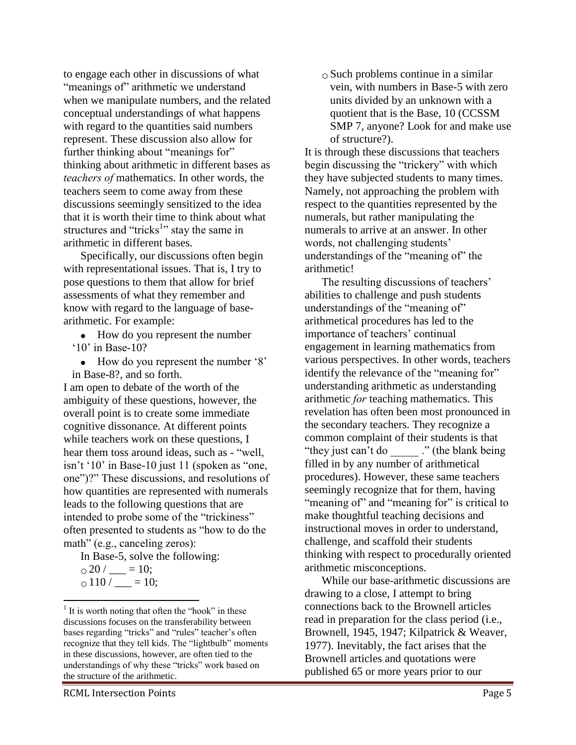to engage each other in discussions of what "meanings of" arithmetic we understand when we manipulate numbers, and the related conceptual understandings of what happens with regard to the quantities said numbers represent. These discussion also allow for further thinking about "meanings for" thinking about arithmetic in different bases as *teachers of* mathematics. In other words, the teachers seem to come away from these discussions seemingly sensitized to the idea that it is worth their time to think about what structures and "tricks<sup>1</sup>" stay the same in arithmetic in different bases.

Specifically, our discussions often begin with representational issues. That is, I try to pose questions to them that allow for brief assessments of what they remember and know with regard to the language of basearithmetic. For example:

• How do you represent the number '10' in Base-10?

• How do you represent the number '8' in Base-8?, and so forth.

I am open to debate of the worth of the ambiguity of these questions, however, the overall point is to create some immediate cognitive dissonance. At different points while teachers work on these questions, I hear them toss around ideas, such as - "well, isn't '10' in Base-10 just 11 (spoken as "one, one")?" These discussions, and resolutions of how quantities are represented with numerals leads to the following questions that are intended to probe some of the "trickiness" often presented to students as "how to do the math" (e.g., canceling zeros):

In Base-5, solve the following:  $\circ$  20 / \_\_ = 10;  $\circ 110$  /  $= 10$ ;

o Such problems continue in a similar vein, with numbers in Base-5 with zero units divided by an unknown with a quotient that is the Base, 10 (CCSSM SMP 7, anyone? Look for and make use of structure?).

It is through these discussions that teachers begin discussing the "trickery" with which they have subjected students to many times. Namely, not approaching the problem with respect to the quantities represented by the numerals, but rather manipulating the numerals to arrive at an answer. In other words, not challenging students' understandings of the "meaning of" the arithmetic!

The resulting discussions of teachers' abilities to challenge and push students understandings of the "meaning of" arithmetical procedures has led to the importance of teachers' continual engagement in learning mathematics from various perspectives. In other words, teachers identify the relevance of the "meaning for" understanding arithmetic as understanding arithmetic *for* teaching mathematics. This revelation has often been most pronounced in the secondary teachers. They recognize a common complaint of their students is that "they just can't do \_\_\_\_\_ ." (the blank being filled in by any number of arithmetical procedures). However, these same teachers seemingly recognize that for them, having "meaning of" and "meaning for" is critical to make thoughtful teaching decisions and instructional moves in order to understand, challenge, and scaffold their students thinking with respect to procedurally oriented arithmetic misconceptions.

While our base-arithmetic discussions are drawing to a close, I attempt to bring connections back to the Brownell articles read in preparation for the class period (i.e., Brownell, 1945, 1947; Kilpatrick & Weaver, 1977). Inevitably, the fact arises that the Brownell articles and quotations were published 65 or more years prior to our

RCML Intersection Points **Page 5** and the second page 5

 $\overline{\phantom{a}}$ 

 $<sup>1</sup>$  It is worth noting that often the "hook" in these</sup> discussions focuses on the transferability between bases regarding "tricks" and "rules" teacher's often recognize that they tell kids. The "lightbulb" moments in these discussions, however, are often tied to the understandings of why these "tricks" work based on the structure of the arithmetic.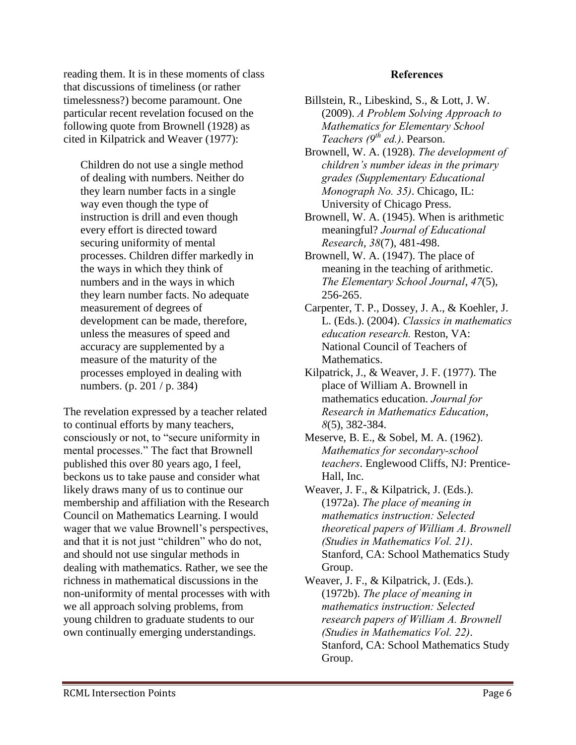reading them. It is in these moments of class that discussions of timeliness (or rather timelessness?) become paramount. One particular recent revelation focused on the following quote from Brownell (1928) as cited in Kilpatrick and Weaver (1977):

Children do not use a single method of dealing with numbers. Neither do they learn number facts in a single way even though the type of instruction is drill and even though every effort is directed toward securing uniformity of mental processes. Children differ markedly in the ways in which they think of numbers and in the ways in which they learn number facts. No adequate measurement of degrees of development can be made, therefore, unless the measures of speed and accuracy are supplemented by a measure of the maturity of the processes employed in dealing with numbers. (p. 201 / p. 384)

The revelation expressed by a teacher related to continual efforts by many teachers, consciously or not, to "secure uniformity in mental processes." The fact that Brownell published this over 80 years ago, I feel, beckons us to take pause and consider what likely draws many of us to continue our membership and affiliation with the Research Council on Mathematics Learning. I would wager that we value Brownell's perspectives, and that it is not just "children" who do not, and should not use singular methods in dealing with mathematics. Rather, we see the richness in mathematical discussions in the non-uniformity of mental processes with with we all approach solving problems, from young children to graduate students to our own continually emerging understandings.

#### **References**

Billstein, R., Libeskind, S., & Lott, J. W. (2009). *A Problem Solving Approach to Mathematics for Elementary School Teachers (9th ed.)*. Pearson.

Brownell, W. A. (1928). *The development of children's number ideas in the primary grades (Supplementary Educational Monograph No. 35)*. Chicago, IL: University of Chicago Press.

- Brownell, W. A. (1945). When is arithmetic meaningful? *Journal of Educational Research*, *38*(7), 481-498.
- Brownell, W. A. (1947). The place of meaning in the teaching of arithmetic. *The Elementary School Journal*, *47*(5), 256-265.
- Carpenter, T. P., Dossey, J. A., & Koehler, J. L. (Eds.). (2004). *Classics in mathematics education research.* Reston, VA: National Council of Teachers of Mathematics.
- Kilpatrick, J., & Weaver, J. F. (1977). The place of William A. Brownell in mathematics education. *Journal for Research in Mathematics Education*, *8*(5), 382-384.
- Meserve, B. E., & Sobel, M. A. (1962). *Mathematics for secondary-school teachers*. Englewood Cliffs, NJ: Prentice-Hall, Inc.
- Weaver, J. F., & Kilpatrick, J. (Eds.). (1972a). *The place of meaning in mathematics instruction: Selected theoretical papers of William A. Brownell (Studies in Mathematics Vol. 21)*. Stanford, CA: School Mathematics Study Group.

Weaver, J. F., & Kilpatrick, J. (Eds.). (1972b). *The place of meaning in mathematics instruction: Selected research papers of William A. Brownell (Studies in Mathematics Vol. 22)*. Stanford, CA: School Mathematics Study Group.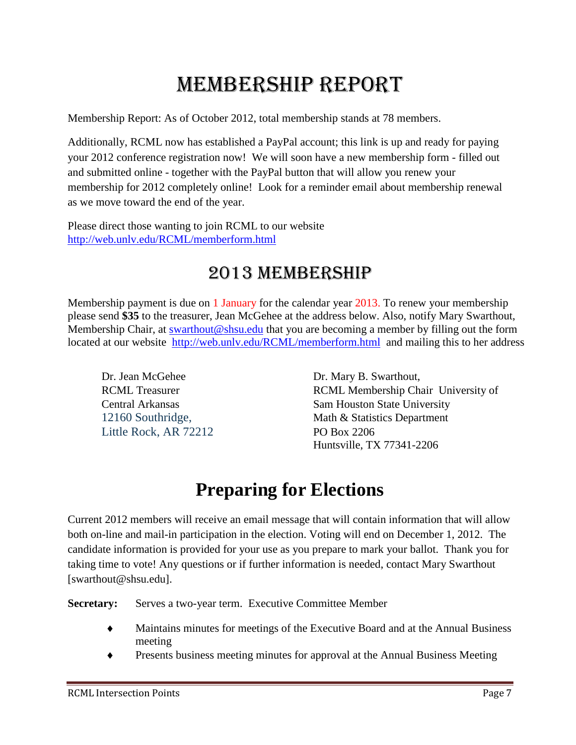### MEMBERSHIP REPORT

Membership Report: As of October 2012, total membership stands at 78 members.

Additionally, RCML now has established a PayPal account; this link is up and ready for paying your 2012 conference registration now! We will soon have a new membership form - filled out and submitted online - together with the PayPal button that will allow you renew your membership for 2012 completely online! Look for a reminder email about membership renewal as we move toward the end of the year.

Please direct those wanting to join RCML to our website <http://web.unlv.edu/RCML/memberform.html>

### 2013 MEMBERSHIP

Membership payment is due on 1 January for the calendar year 2013. To renew your membership please send **\$35** to the treasurer, Jean McGehee at the address below. Also, notify Mary Swarthout, Membership Chair, at [swarthout@shsu.edu](mailto:swarthout@shsu.edu) that you are becoming a member by filling out the form located at our website http://web.unly.edu/RCML/memberform.html and mailing this to her address

Dr. Jean McGehee Dr. Mary B. Swarthout, Little Rock, AR 72212 PO Box 2206

RCML Treasurer The RCML Membership Chair University of Central Arkansas Sam Houston State University 12160 Southridge, Math & Statistics Department Huntsville, TX 77341-2206

### **Preparing for Elections**

Current 2012 members will receive an email message that will contain information that will allow both on-line and mail-in participation in the election. Voting will end on December 1, 2012. The candidate information is provided for your use as you prepare to mark your ballot. Thank you for taking time to vote! Any questions or if further information is needed, contact Mary Swarthout [swarthout@shsu.edu].

**Secretary:** Serves a two-year term. Executive Committee Member

- Maintains minutes for meetings of the Executive Board and at the Annual Business meeting
- Presents business meeting minutes for approval at the Annual Business Meeting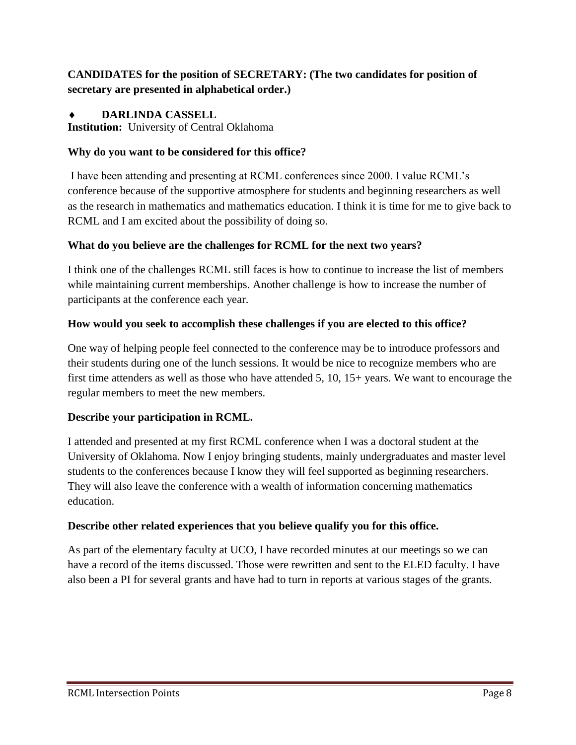#### **CANDIDATES for the position of SECRETARY: (The two candidates for position of secretary are presented in alphabetical order.)**

#### **DARLINDA CASSELL**

**Institution:** University of Central Oklahoma

#### **Why do you want to be considered for this office?**

I have been attending and presenting at RCML conferences since 2000. I value RCML's conference because of the supportive atmosphere for students and beginning researchers as well as the research in mathematics and mathematics education. I think it is time for me to give back to RCML and I am excited about the possibility of doing so.

#### **What do you believe are the challenges for RCML for the next two years?**

I think one of the challenges RCML still faces is how to continue to increase the list of members while maintaining current memberships. Another challenge is how to increase the number of participants at the conference each year.

#### **How would you seek to accomplish these challenges if you are elected to this office?**

One way of helping people feel connected to the conference may be to introduce professors and their students during one of the lunch sessions. It would be nice to recognize members who are first time attenders as well as those who have attended 5, 10, 15+ years. We want to encourage the regular members to meet the new members.

#### **Describe your participation in RCML.**

I attended and presented at my first RCML conference when I was a doctoral student at the University of Oklahoma. Now I enjoy bringing students, mainly undergraduates and master level students to the conferences because I know they will feel supported as beginning researchers. They will also leave the conference with a wealth of information concerning mathematics education.

#### **Describe other related experiences that you believe qualify you for this office.**

As part of the elementary faculty at UCO, I have recorded minutes at our meetings so we can have a record of the items discussed. Those were rewritten and sent to the ELED faculty. I have also been a PI for several grants and have had to turn in reports at various stages of the grants.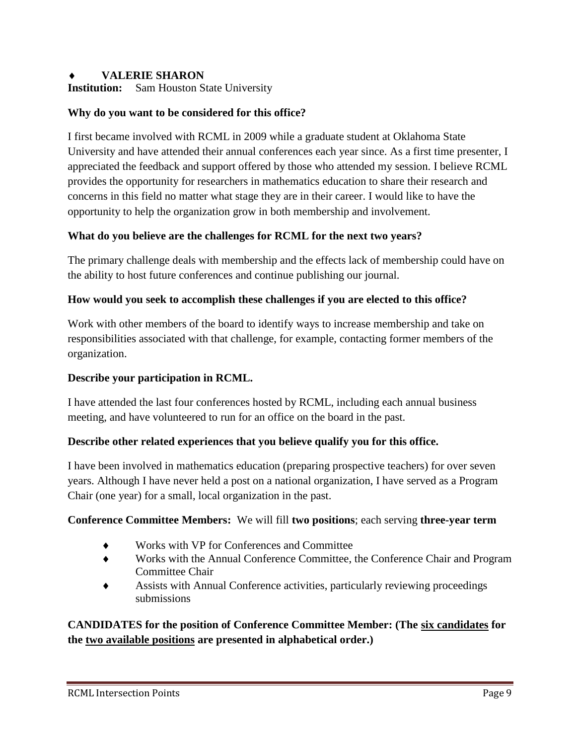#### **VALERIE SHARON**

**Institution:** Sam Houston State University

#### **Why do you want to be considered for this office?**

I first became involved with RCML in 2009 while a graduate student at Oklahoma State University and have attended their annual conferences each year since. As a first time presenter, I appreciated the feedback and support offered by those who attended my session. I believe RCML provides the opportunity for researchers in mathematics education to share their research and concerns in this field no matter what stage they are in their career. I would like to have the opportunity to help the organization grow in both membership and involvement.

#### **What do you believe are the challenges for RCML for the next two years?**

The primary challenge deals with membership and the effects lack of membership could have on the ability to host future conferences and continue publishing our journal.

#### **How would you seek to accomplish these challenges if you are elected to this office?**

Work with other members of the board to identify ways to increase membership and take on responsibilities associated with that challenge, for example, contacting former members of the organization.

#### **Describe your participation in RCML.**

I have attended the last four conferences hosted by RCML, including each annual business meeting, and have volunteered to run for an office on the board in the past.

#### **Describe other related experiences that you believe qualify you for this office.**

I have been involved in mathematics education (preparing prospective teachers) for over seven years. Although I have never held a post on a national organization, I have served as a Program Chair (one year) for a small, local organization in the past.

#### **Conference Committee Members:** We will fill **two positions**; each serving **three-year term**

- Works with VP for Conferences and Committee
- Works with the Annual Conference Committee, the Conference Chair and Program Committee Chair
- Assists with Annual Conference activities, particularly reviewing proceedings submissions

**CANDIDATES for the position of Conference Committee Member: (The six candidates for the two available positions are presented in alphabetical order.)**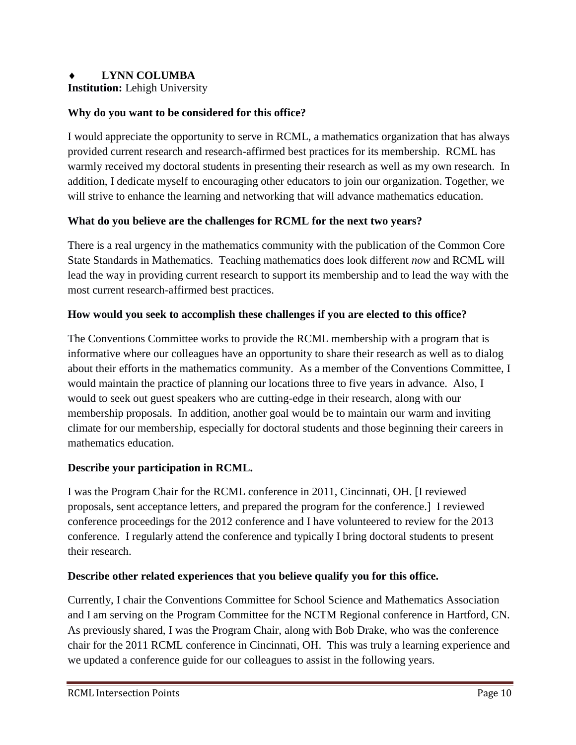#### **LYNN COLUMBA**

**Institution:** Lehigh University

#### **Why do you want to be considered for this office?**

I would appreciate the opportunity to serve in RCML, a mathematics organization that has always provided current research and research-affirmed best practices for its membership. RCML has warmly received my doctoral students in presenting their research as well as my own research. In addition, I dedicate myself to encouraging other educators to join our organization. Together, we will strive to enhance the learning and networking that will advance mathematics education.

#### **What do you believe are the challenges for RCML for the next two years?**

There is a real urgency in the mathematics community with the publication of the Common Core State Standards in Mathematics. Teaching mathematics does look different *now* and RCML will lead the way in providing current research to support its membership and to lead the way with the most current research-affirmed best practices.

#### **How would you seek to accomplish these challenges if you are elected to this office?**

The Conventions Committee works to provide the RCML membership with a program that is informative where our colleagues have an opportunity to share their research as well as to dialog about their efforts in the mathematics community. As a member of the Conventions Committee, I would maintain the practice of planning our locations three to five years in advance. Also, I would to seek out guest speakers who are cutting-edge in their research, along with our membership proposals. In addition, another goal would be to maintain our warm and inviting climate for our membership, especially for doctoral students and those beginning their careers in mathematics education.

#### **Describe your participation in RCML.**

I was the Program Chair for the RCML conference in 2011, Cincinnati, OH. [I reviewed proposals, sent acceptance letters, and prepared the program for the conference.] I reviewed conference proceedings for the 2012 conference and I have volunteered to review for the 2013 conference. I regularly attend the conference and typically I bring doctoral students to present their research.

#### **Describe other related experiences that you believe qualify you for this office.**

Currently, I chair the Conventions Committee for School Science and Mathematics Association and I am serving on the Program Committee for the NCTM Regional conference in Hartford, CN. As previously shared, I was the Program Chair, along with Bob Drake, who was the conference chair for the 2011 RCML conference in Cincinnati, OH. This was truly a learning experience and we updated a conference guide for our colleagues to assist in the following years.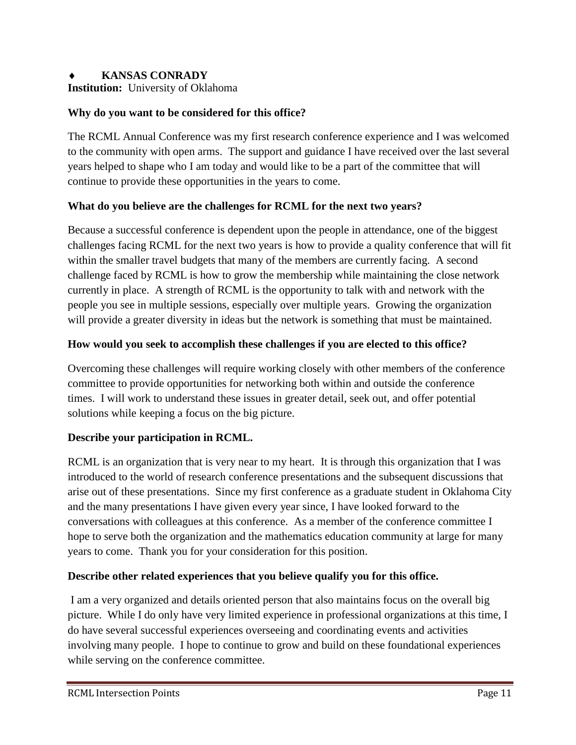#### **KANSAS CONRADY**

**Institution:** University of Oklahoma

#### **Why do you want to be considered for this office?**

The RCML Annual Conference was my first research conference experience and I was welcomed to the community with open arms. The support and guidance I have received over the last several years helped to shape who I am today and would like to be a part of the committee that will continue to provide these opportunities in the years to come.

#### **What do you believe are the challenges for RCML for the next two years?**

Because a successful conference is dependent upon the people in attendance, one of the biggest challenges facing RCML for the next two years is how to provide a quality conference that will fit within the smaller travel budgets that many of the members are currently facing. A second challenge faced by RCML is how to grow the membership while maintaining the close network currently in place. A strength of RCML is the opportunity to talk with and network with the people you see in multiple sessions, especially over multiple years. Growing the organization will provide a greater diversity in ideas but the network is something that must be maintained.

#### **How would you seek to accomplish these challenges if you are elected to this office?**

Overcoming these challenges will require working closely with other members of the conference committee to provide opportunities for networking both within and outside the conference times. I will work to understand these issues in greater detail, seek out, and offer potential solutions while keeping a focus on the big picture.

#### **Describe your participation in RCML.**

RCML is an organization that is very near to my heart. It is through this organization that I was introduced to the world of research conference presentations and the subsequent discussions that arise out of these presentations. Since my first conference as a graduate student in Oklahoma City and the many presentations I have given every year since, I have looked forward to the conversations with colleagues at this conference. As a member of the conference committee I hope to serve both the organization and the mathematics education community at large for many years to come. Thank you for your consideration for this position.

#### **Describe other related experiences that you believe qualify you for this office.**

I am a very organized and details oriented person that also maintains focus on the overall big picture. While I do only have very limited experience in professional organizations at this time, I do have several successful experiences overseeing and coordinating events and activities involving many people. I hope to continue to grow and build on these foundational experiences while serving on the conference committee.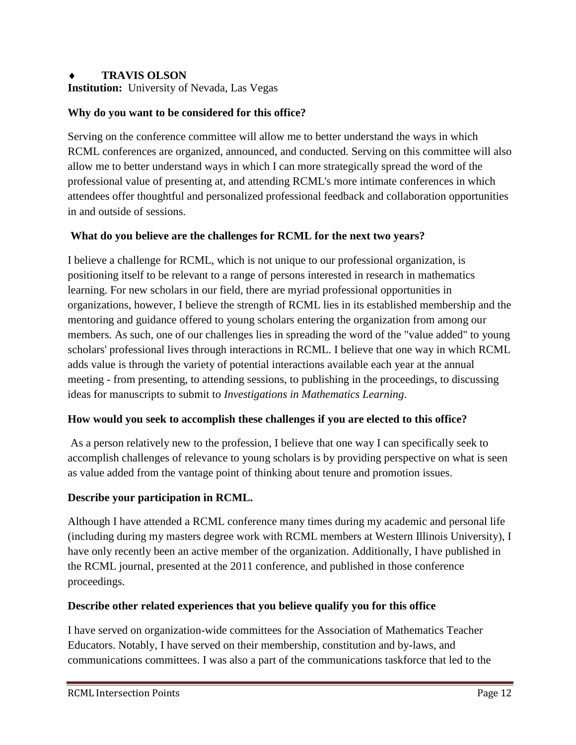#### **TRAVIS OLSON**

**Institution:** University of Nevada, Las Vegas

#### **Why do you want to be considered for this office?**

Serving on the conference committee will allow me to better understand the ways in which RCML conferences are organized, announced, and conducted. Serving on this committee will also allow me to better understand ways in which I can more strategically spread the word of the professional value of presenting at, and attending RCML's more intimate conferences in which attendees offer thoughtful and personalized professional feedback and collaboration opportunities in and outside of sessions.

#### **What do you believe are the challenges for RCML for the next two years?**

I believe a challenge for RCML, which is not unique to our professional organization, is positioning itself to be relevant to a range of persons interested in research in mathematics learning. For new scholars in our field, there are myriad professional opportunities in organizations, however, I believe the strength of RCML lies in its established membership and the mentoring and guidance offered to young scholars entering the organization from among our members. As such, one of our challenges lies in spreading the word of the "value added" to young scholars' professional lives through interactions in RCML. I believe that one way in which RCML adds value is through the variety of potential interactions available each year at the annual meeting - from presenting, to attending sessions, to publishing in the proceedings, to discussing ideas for manuscripts to submit to *Investigations in Mathematics Learning*.

#### **How would you seek to accomplish these challenges if you are elected to this office?**

As a person relatively new to the profession, I believe that one way I can specifically seek to accomplish challenges of relevance to young scholars is by providing perspective on what is seen as value added from the vantage point of thinking about tenure and promotion issues.

#### **Describe your participation in RCML.**

Although I have attended a RCML conference many times during my academic and personal life (including during my masters degree work with RCML members at Western Illinois University), I have only recently been an active member of the organization. Additionally, I have published in the RCML journal, presented at the 2011 conference, and published in those conference proceedings.

#### **Describe other related experiences that you believe qualify you for this office**

I have served on organization-wide committees for the Association of Mathematics Teacher Educators. Notably, I have served on their membership, constitution and by-laws, and communications committees. I was also a part of the communications taskforce that led to the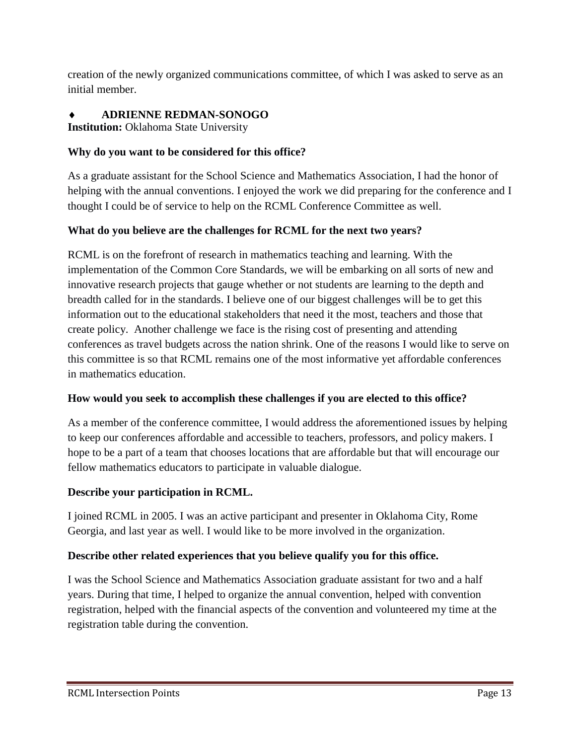creation of the newly organized communications committee, of which I was asked to serve as an initial member.

#### **ADRIENNE REDMAN-SONOGO**

**Institution:** Oklahoma State University

#### **Why do you want to be considered for this office?**

As a graduate assistant for the School Science and Mathematics Association, I had the honor of helping with the annual conventions. I enjoyed the work we did preparing for the conference and I thought I could be of service to help on the RCML Conference Committee as well.

#### **What do you believe are the challenges for RCML for the next two years?**

RCML is on the forefront of research in mathematics teaching and learning. With the implementation of the Common Core Standards, we will be embarking on all sorts of new and innovative research projects that gauge whether or not students are learning to the depth and breadth called for in the standards. I believe one of our biggest challenges will be to get this information out to the educational stakeholders that need it the most, teachers and those that create policy. Another challenge we face is the rising cost of presenting and attending conferences as travel budgets across the nation shrink. One of the reasons I would like to serve on this committee is so that RCML remains one of the most informative yet affordable conferences in mathematics education.

#### **How would you seek to accomplish these challenges if you are elected to this office?**

As a member of the conference committee, I would address the aforementioned issues by helping to keep our conferences affordable and accessible to teachers, professors, and policy makers. I hope to be a part of a team that chooses locations that are affordable but that will encourage our fellow mathematics educators to participate in valuable dialogue.

#### **Describe your participation in RCML.**

I joined RCML in 2005. I was an active participant and presenter in Oklahoma City, Rome Georgia, and last year as well. I would like to be more involved in the organization.

#### **Describe other related experiences that you believe qualify you for this office.**

I was the School Science and Mathematics Association graduate assistant for two and a half years. During that time, I helped to organize the annual convention, helped with convention registration, helped with the financial aspects of the convention and volunteered my time at the registration table during the convention.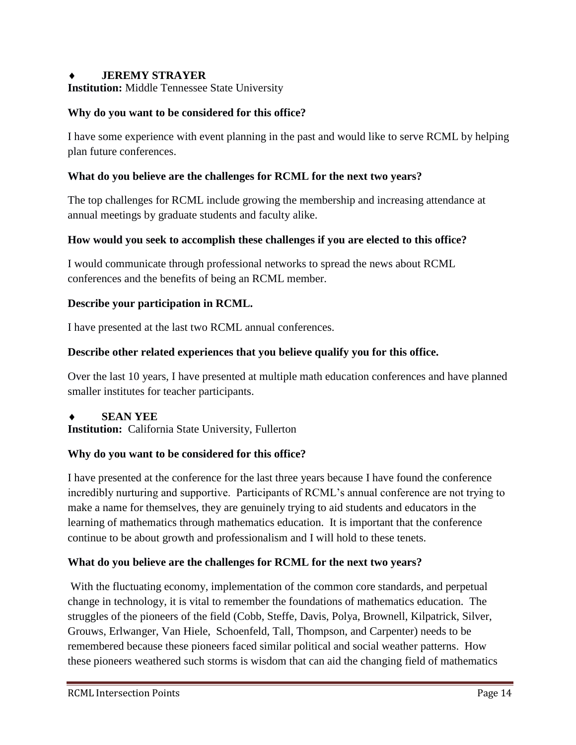#### **JEREMY STRAYER**

**Institution:** Middle Tennessee State University

#### **Why do you want to be considered for this office?**

I have some experience with event planning in the past and would like to serve RCML by helping plan future conferences.

#### **What do you believe are the challenges for RCML for the next two years?**

The top challenges for RCML include growing the membership and increasing attendance at annual meetings by graduate students and faculty alike.

#### **How would you seek to accomplish these challenges if you are elected to this office?**

I would communicate through professional networks to spread the news about RCML conferences and the benefits of being an RCML member.

#### **Describe your participation in RCML.**

I have presented at the last two RCML annual conferences.

#### **Describe other related experiences that you believe qualify you for this office.**

Over the last 10 years, I have presented at multiple math education conferences and have planned smaller institutes for teacher participants.

#### **SEAN YEE**

**Institution:** California State University, Fullerton

#### **Why do you want to be considered for this office?**

I have presented at the conference for the last three years because I have found the conference incredibly nurturing and supportive. Participants of RCML's annual conference are not trying to make a name for themselves, they are genuinely trying to aid students and educators in the learning of mathematics through mathematics education. It is important that the conference continue to be about growth and professionalism and I will hold to these tenets.

#### **What do you believe are the challenges for RCML for the next two years?**

With the fluctuating economy, implementation of the common core standards, and perpetual change in technology, it is vital to remember the foundations of mathematics education. The struggles of the pioneers of the field (Cobb, Steffe, Davis, Polya, Brownell, Kilpatrick, Silver, Grouws, Erlwanger, Van Hiele, Schoenfeld, Tall, Thompson, and Carpenter) needs to be remembered because these pioneers faced similar political and social weather patterns. How these pioneers weathered such storms is wisdom that can aid the changing field of mathematics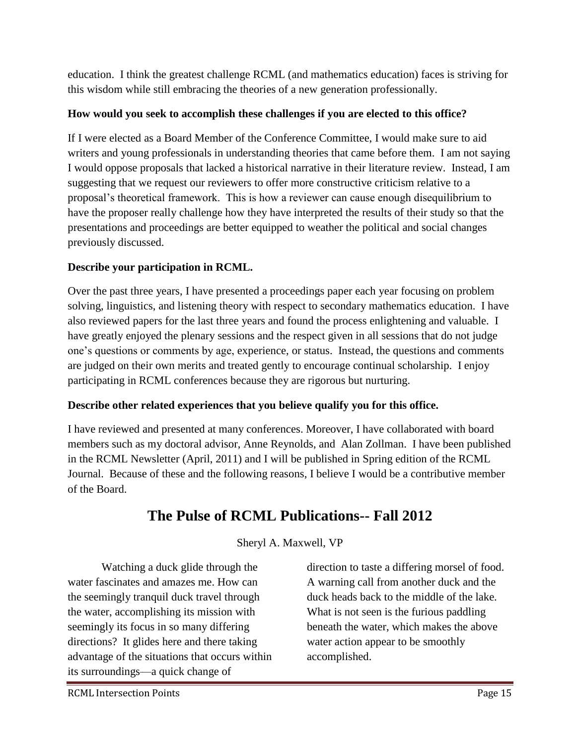education. I think the greatest challenge RCML (and mathematics education) faces is striving for this wisdom while still embracing the theories of a new generation professionally.

#### **How would you seek to accomplish these challenges if you are elected to this office?**

If I were elected as a Board Member of the Conference Committee, I would make sure to aid writers and young professionals in understanding theories that came before them. I am not saying I would oppose proposals that lacked a historical narrative in their literature review. Instead, I am suggesting that we request our reviewers to offer more constructive criticism relative to a proposal's theoretical framework. This is how a reviewer can cause enough disequilibrium to have the proposer really challenge how they have interpreted the results of their study so that the presentations and proceedings are better equipped to weather the political and social changes previously discussed.

#### **Describe your participation in RCML.**

Over the past three years, I have presented a proceedings paper each year focusing on problem solving, linguistics, and listening theory with respect to secondary mathematics education. I have also reviewed papers for the last three years and found the process enlightening and valuable. I have greatly enjoyed the plenary sessions and the respect given in all sessions that do not judge one's questions or comments by age, experience, or status. Instead, the questions and comments are judged on their own merits and treated gently to encourage continual scholarship. I enjoy participating in RCML conferences because they are rigorous but nurturing.

#### **Describe other related experiences that you believe qualify you for this office.**

I have reviewed and presented at many conferences. Moreover, I have collaborated with board members such as my doctoral advisor, Anne Reynolds, and Alan Zollman. I have been published in the RCML Newsletter (April, 2011) and I will be published in Spring edition of the RCML Journal. Because of these and the following reasons, I believe I would be a contributive member of the Board.

### **The Pulse of RCML Publications-- Fall 2012**

Sheryl A. Maxwell, VP

Watching a duck glide through the water fascinates and amazes me. How can the seemingly tranquil duck travel through the water, accomplishing its mission with seemingly its focus in so many differing directions? It glides here and there taking advantage of the situations that occurs within its surroundings—a quick change of

direction to taste a differing morsel of food. A warning call from another duck and the duck heads back to the middle of the lake. What is not seen is the furious paddling beneath the water, which makes the above water action appear to be smoothly accomplished.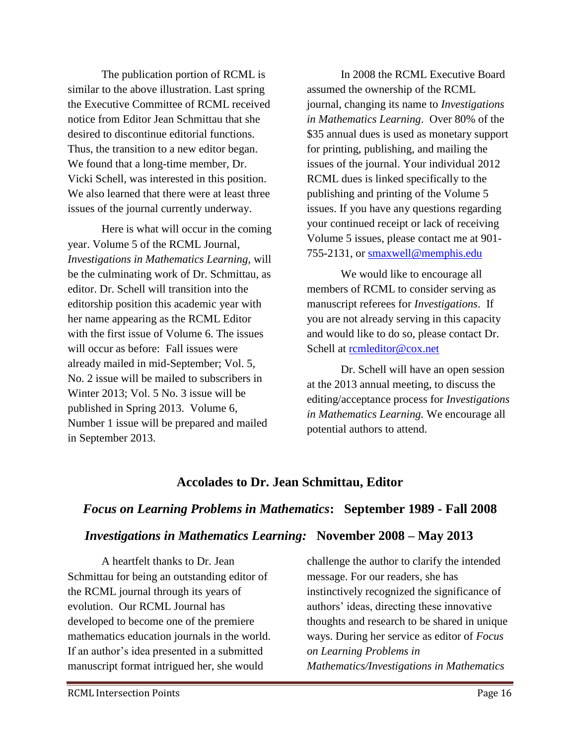The publication portion of RCML is similar to the above illustration. Last spring the Executive Committee of RCML received notice from Editor Jean Schmittau that she desired to discontinue editorial functions. Thus, the transition to a new editor began. We found that a long-time member, Dr. Vicki Schell, was interested in this position. We also learned that there were at least three issues of the journal currently underway.

Here is what will occur in the coming year. Volume 5 of the RCML Journal, *Investigations in Mathematics Learning,* will be the culminating work of Dr. Schmittau, as editor. Dr. Schell will transition into the editorship position this academic year with her name appearing as the RCML Editor with the first issue of Volume 6. The issues will occur as before: Fall issues were already mailed in mid-September; Vol. 5, No. 2 issue will be mailed to subscribers in Winter 2013; Vol. 5 No. 3 issue will be published in Spring 2013. Volume 6, Number 1 issue will be prepared and mailed in September 2013.

In 2008 the RCML Executive Board assumed the ownership of the RCML journal, changing its name to *Investigations in Mathematics Learning*. Over 80% of the \$35 annual dues is used as monetary support for printing, publishing, and mailing the issues of the journal. Your individual 2012 RCML dues is linked specifically to the publishing and printing of the Volume 5 issues. If you have any questions regarding your continued receipt or lack of receiving Volume 5 issues, please contact me at 901- 755-2131, or [smaxwell@memphis.edu](mailto:smaxwell@memphis.edu)

We would like to encourage all members of RCML to consider serving as manuscript referees for *Investigations*. If you are not already serving in this capacity and would like to do so, please contact Dr. Schell at [rcmleditor@cox.net](mailto:rcmleditor@cox.net)

Dr. Schell will have an open session at the 2013 annual meeting, to discuss the editing/acceptance process for *Investigations in Mathematics Learning.* We encourage all potential authors to attend.

#### **Accolades to Dr. Jean Schmittau, Editor**

#### *Focus on Learning Problems in Mathematics***: September 1989 - Fall 2008**

#### *Investigations in Mathematics Learning:* **November 2008 – May 2013**

A heartfelt thanks to Dr. Jean Schmittau for being an outstanding editor of the RCML journal through its years of evolution. Our RCML Journal has developed to become one of the premiere mathematics education journals in the world. If an author's idea presented in a submitted manuscript format intrigued her, she would

challenge the author to clarify the intended message. For our readers, she has instinctively recognized the significance of authors' ideas, directing these innovative thoughts and research to be shared in unique ways. During her service as editor of *Focus on Learning Problems in Mathematics/Investigations in Mathematics*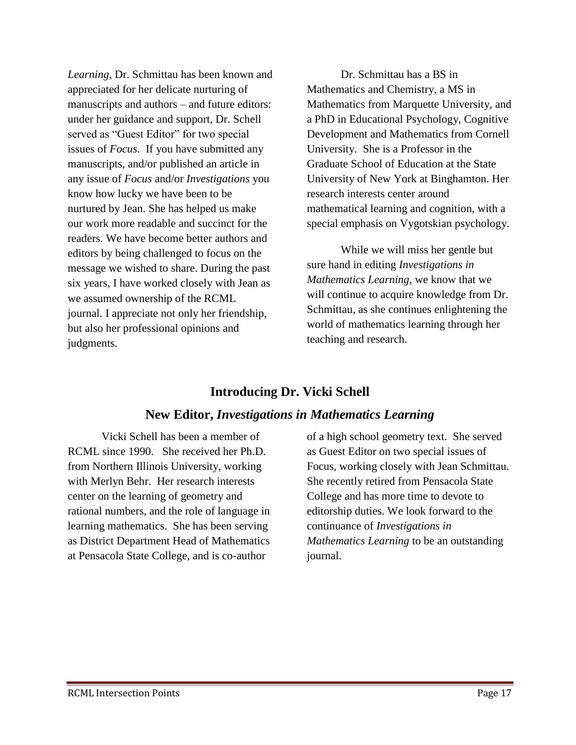*Learning*, Dr. Schmittau has been known and appreciated for her delicate nurturing of manuscripts and authors – and future editors: under her guidance and support, Dr. Schell served as "Guest Editor" for two special issues of *Focus*. If you have submitted any manuscripts, and/or published an article in any issue of *Focus* and/or *Investigations* you know how lucky we have been to be nurtured by Jean. She has helped us make our work more readable and succinct for the readers. We have become better authors and editors by being challenged to focus on the message we wished to share. During the past six years, I have worked closely with Jean as we assumed ownership of the RCML journal. I appreciate not only her friendship, but also her professional opinions and judgments.

Dr. Schmittau has a BS in Mathematics and Chemistry, a MS in Mathematics from Marquette University, and a PhD in Educational Psychology, Cognitive Development and Mathematics from Cornell University. She is a Professor in the Graduate School of Education at the State University of New York at Binghamton. Her research interests center around mathematical learning and cognition, with a special emphasis on Vygotskian psychology.

While we will miss her gentle but sure hand in editing *Investigations in Mathematics Learning*, we know that we will continue to acquire knowledge from Dr. Schmittau, as she continues enlightening the world of mathematics learning through her teaching and research.

#### **Introducing Dr. Vicki Schell**

#### **New Editor,** *Investigations in Mathematics Learning*

Vicki Schell has been a member of RCML since 1990. She received her Ph.D. from Northern Illinois University, working with Merlyn Behr. Her research interests center on the learning of geometry and rational numbers, and the role of language in learning mathematics. She has been serving as District Department Head of Mathematics at Pensacola State College, and is co-author

of a high school geometry text. She served as Guest Editor on two special issues of Focus, working closely with Jean Schmittau. She recently retired from Pensacola State College and has more time to devote to editorship duties. We look forward to the continuance of *Investigations in Mathematics Learning* to be an outstanding journal.